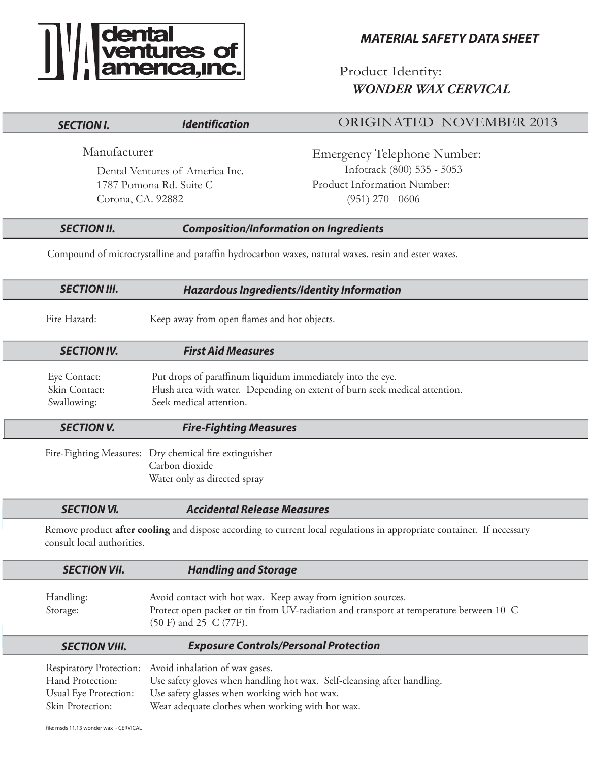# **The Second Second**<br> **The Second Second Second**<br> **The Second Second Second Second**<br> **The Second Second Second Second**<br> **Second Second Second Second**<br> **Second Second Second Second Second** Second Second Second Second Second

# *MATERIAL SAFETY DATA SHEET*

Product Identity: *WONDER WAX CERVICAL*

| <b>SECTION I.</b>                                                                                  | <b>Identification</b>                                                                                                               | <b>ORIGINATED NOVEMBER 2013</b>                                                                                                                        |
|----------------------------------------------------------------------------------------------------|-------------------------------------------------------------------------------------------------------------------------------------|--------------------------------------------------------------------------------------------------------------------------------------------------------|
| Manufacturer<br>Dental Ventures of America Inc.<br>1787 Pomona Rd. Suite C<br>Corona, CA. 92882    |                                                                                                                                     | <b>Emergency Telephone Number:</b><br>Infotrack (800) 535 - 5053<br>Product Information Number:<br>$(951)$ 270 - 0606                                  |
| <b>SECTION II.</b>                                                                                 |                                                                                                                                     | <b>Composition/Information on Ingredients</b>                                                                                                          |
| Compound of microcrystalline and paraffin hydrocarbon waxes, natural waxes, resin and ester waxes. |                                                                                                                                     |                                                                                                                                                        |
| <b>SECTION III.</b>                                                                                |                                                                                                                                     | <b>Hazardous Ingredients/Identity Information</b>                                                                                                      |
| Fire Hazard:                                                                                       | Keep away from open flames and hot objects.                                                                                         |                                                                                                                                                        |
| <b>SECTION IV.</b>                                                                                 | <b>First Aid Measures</b>                                                                                                           |                                                                                                                                                        |
| Eye Contact:<br>Skin Contact:<br>Swallowing:                                                       | Put drops of paraffinum liquidum immediately into the eye.<br>Seek medical attention.                                               | Flush area with water. Depending on extent of burn seek medical attention.                                                                             |
| <b>SECTION V.</b>                                                                                  | <b>Fire-Fighting Measures</b>                                                                                                       |                                                                                                                                                        |
| Fire-Fighting Measures:                                                                            | Dry chemical fire extinguisher<br>Carbon dioxide<br>Water only as directed spray                                                    |                                                                                                                                                        |
| <b>SECTION VI.</b>                                                                                 | <b>Accidental Release Measures</b>                                                                                                  |                                                                                                                                                        |
| consult local authorities.                                                                         |                                                                                                                                     | Remove product after cooling and dispose according to current local regulations in appropriate container. If necessary                                 |
| <b>SECTION VII.</b>                                                                                | <b>Handling and Storage</b>                                                                                                         |                                                                                                                                                        |
| Handling:<br>Storage:                                                                              | (50 F) and 25 C (77F).                                                                                                              | Avoid contact with hot wax. Keep away from ignition sources.<br>Protect open packet or tin from UV-radiation and transport at temperature between 10 C |
| <b>SECTION VIII.</b>                                                                               |                                                                                                                                     | <b>Exposure Controls/Personal Protection</b>                                                                                                           |
| <b>Respiratory Protection:</b><br>Hand Protection:<br>Usual Eye Protection:<br>Skin Protection:    | Avoid inhalation of wax gases.<br>Use safety glasses when working with hot wax.<br>Wear adequate clothes when working with hot wax. | Use safety gloves when handling hot wax. Self-cleansing after handling.                                                                                |
| file: msds 11.13 wonder wax - CERVICAL                                                             |                                                                                                                                     |                                                                                                                                                        |